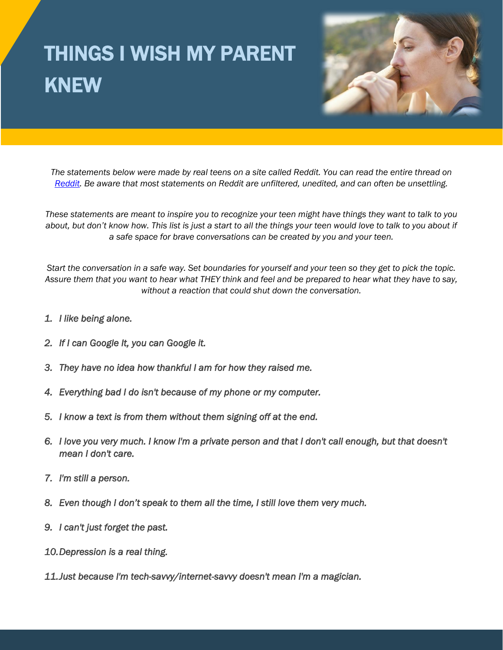## THINGS I WISH MY PARENT KNEW



*The statements below were made by real teens on a site called Reddit. You can read the entire thread on [Reddit.](https://www.reddit.com/r/AskReddit/comments/6qjtbw/what_do_you_wish_your_parents_understood/) Be aware that most statements on Reddit are unfiltered, unedited, and can often be unsettling.*

*These statements are meant to inspire you to recognize your teen might have things they want to talk to you about, but don't know how. This list is just a start to all the things your teen would love to talk to you about if a safe space for brave conversations can be created by you and your teen.*

*Start the conversation in a safe way. Set boundaries for yourself and your teen so they get to pick the topic. Assure them that you want to hear what THEY think and feel and be prepared to hear what they have to say, without a reaction that could shut down the conversation.* 

- *1. I like being alone.*
- *2. If I can Google It, you can Google it.*
- *3. They have no idea how thankful I am for how they raised me.*
- *4. Everything bad I do isn't because of my phone or my computer.*
- *5. I know a text is from them without them signing off at the end.*
- *6. I love you very much. I know I'm a private person and that I don't call enough, but that doesn't mean I don't care.*
- *7. I'm still a person.*
- *8. Even though I don't speak to them all the time, I still love them very much.*
- *9. I can't just forget the past.*
- *10.Depression is a real thing.*
- *11.Just because I'm tech-savvy/internet-savvy doesn't mean I'm a magician.*